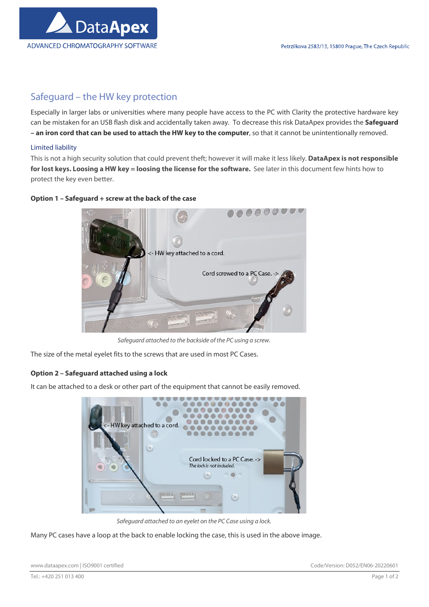

# Safeguard – the HW key protection

Especially in larger labs or universities where many people have access to the PC with Clarity the protective hardware key can be mistaken for an USB flash disk and accidentally taken away. To decrease this risk DataApex provides the Safeguard – an iron cord that can be used to attach the HW key to the computer, so that it cannot be unintentionally removed.

#### Limited liability

This is not a high security solution that could prevent theft; however it will make it less likely. DataApex is not responsible for lost keys. Loosing a HW key = loosing the license for the software. See later in this document few hints how to protect the key even better.

### Option 1 – Safeguard + screw at the back of the case



Safeguard attached to the backside of the PC using a screw.

The size of the metal eyelet fits to the screws that are used in most PC Cases.

## Option 2 – Safeguard attached using a lock

It can be attached to a desk or other part of the equipment that cannot be easily removed.



Safeguard attached to an eyelet on the PC Case using a lock.

Many PC cases have a loop at the back to enable locking the case, this is used in the above image.